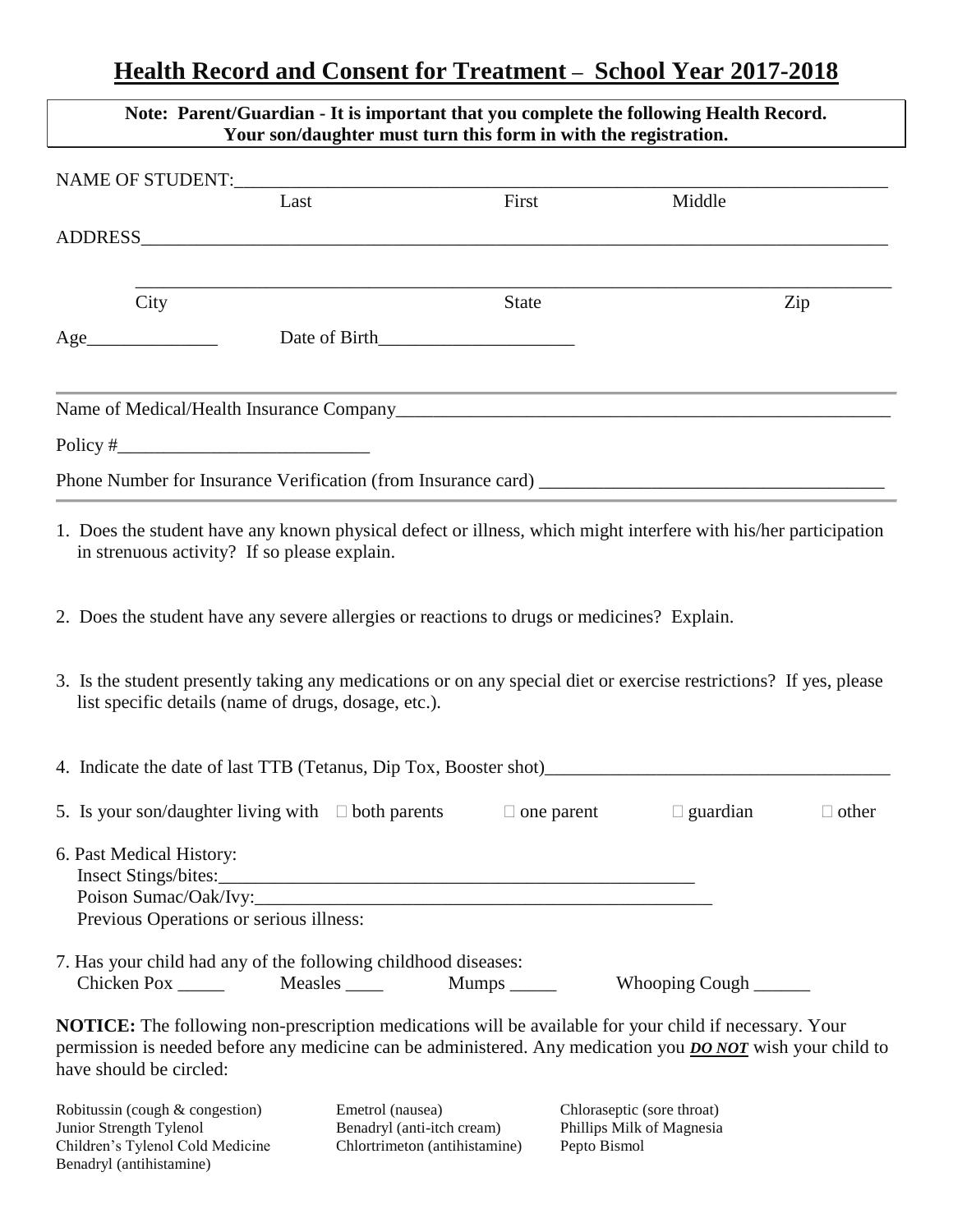## **Health Record and Consent for Treatment – School Year 2017-2018**

 $\lfloor$ 

| Note: Parent/Guardian - It is important that you complete the following Health Record.<br>Your son/daughter must turn this form in with the registration.                                                                                                     |                                                                                 |                   |                                                                         |              |  |
|---------------------------------------------------------------------------------------------------------------------------------------------------------------------------------------------------------------------------------------------------------------|---------------------------------------------------------------------------------|-------------------|-------------------------------------------------------------------------|--------------|--|
|                                                                                                                                                                                                                                                               |                                                                                 |                   |                                                                         |              |  |
| Last                                                                                                                                                                                                                                                          |                                                                                 | First             | Middle                                                                  |              |  |
|                                                                                                                                                                                                                                                               |                                                                                 |                   |                                                                         |              |  |
|                                                                                                                                                                                                                                                               |                                                                                 |                   |                                                                         |              |  |
| City                                                                                                                                                                                                                                                          |                                                                                 | <b>State</b>      |                                                                         | Zip          |  |
| Age Date of Birth                                                                                                                                                                                                                                             |                                                                                 |                   |                                                                         |              |  |
|                                                                                                                                                                                                                                                               |                                                                                 |                   |                                                                         |              |  |
| Policy $\frac{4}{x}$ expression to the set of the set of the set of the set of the set of the set of the set of the set of the set of the set of the set of the set of the set of the set of the set of the set of the set of the                             |                                                                                 |                   |                                                                         |              |  |
|                                                                                                                                                                                                                                                               |                                                                                 |                   |                                                                         |              |  |
| 1. Does the student have any known physical defect or illness, which might interfere with his/her participation<br>in strenuous activity? If so please explain.                                                                                               |                                                                                 |                   |                                                                         |              |  |
| 2. Does the student have any severe allergies or reactions to drugs or medicines? Explain.                                                                                                                                                                    |                                                                                 |                   |                                                                         |              |  |
| 3. Is the student presently taking any medications or on any special diet or exercise restrictions? If yes, please<br>list specific details (name of drugs, dosage, etc.).                                                                                    |                                                                                 |                   |                                                                         |              |  |
| 4. Indicate the date of last TTB (Tetanus, Dip Tox, Booster shot)                                                                                                                                                                                             |                                                                                 |                   |                                                                         |              |  |
| 5. Is your son/daughter living with $\Box$ both parents                                                                                                                                                                                                       |                                                                                 | $\Box$ one parent | $\Box$ guardian                                                         | $\Box$ other |  |
| 6. Past Medical History:<br>Previous Operations or serious illness:                                                                                                                                                                                           |                                                                                 |                   |                                                                         |              |  |
| 7. Has your child had any of the following childhood diseases:<br>Chicken Pox _______ Measles _____                                                                                                                                                           |                                                                                 | Mumps ______      | Whooping Cough                                                          |              |  |
| <b>NOTICE:</b> The following non-prescription medications will be available for your child if necessary. Your<br>permission is needed before any medicine can be administered. Any medication you <b>DO NOT</b> wish your child to<br>have should be circled: |                                                                                 |                   |                                                                         |              |  |
| Robitussin (cough & congestion)<br>Junior Strength Tylenol<br>Children's Tylenol Cold Medicine<br>Benadryl (antihistamine)                                                                                                                                    | Emetrol (nausea)<br>Benadryl (anti-itch cream)<br>Chlortrimeton (antihistamine) |                   | Chloraseptic (sore throat)<br>Phillips Milk of Magnesia<br>Pepto Bismol |              |  |